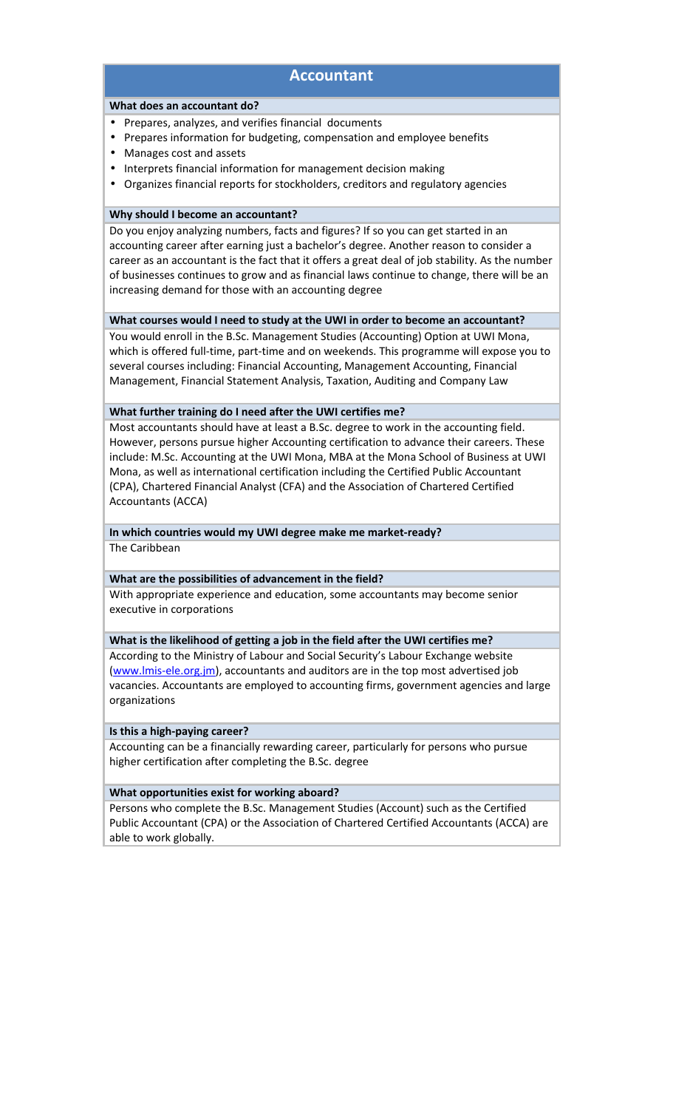# **Accountant**

#### **What does an accountant do?**

- Prepares, analyzes, and verifies financial documents
- Prepares information for budgeting, compensation and employee benefits
- Manages cost and assets
- Interprets financial information for management decision making
- Organizes financial reports for stockholders, creditors and regulatory agencies

#### **Why should I become an accountant?**

Do you enjoy analyzing numbers, facts and figures? If so you can get started in an accounting career after earning just a bachelor's degree. Another reason to consider a career as an accountant is the fact that it offers a great deal of job stability. As the number of businesses continues to grow and as financial laws continue to change, there will be an increasing demand for those with an accounting degree

#### **What courses would I need to study at the UWI in order to become an accountant?**

You would enroll in the B.Sc. Management Studies (Accounting) Option at UWI Mona, which is offered full-time, part-time and on weekends. This programme will expose you to several courses including: Financial Accounting, Management Accounting, Financial Management, Financial Statement Analysis, Taxation, Auditing and Company Law

#### **What further training do I need after the UWI certifies me?**

Most accountants should have at least a B.Sc. degree to work in the accounting field. However, persons pursue higher Accounting certification to advance their careers. These include: M.Sc. Accounting at the UWI Mona, MBA at the Mona School of Business at UWI Mona, as well as international certification including the Certified Public Accountant (CPA), Chartered Financial Analyst (CFA) and the Association of Chartered Certified Accountants (ACCA)

#### **In which countries would my UWI degree make me market-ready?**

The Caribbean

#### **What are the possibilities of advancement in the field?**

With appropriate experience and education, some accountants may become senior executive in corporations

#### **What is the likelihood of getting a job in the field after the UWI certifies me?**

According to the Ministry of Labour and Social Security's Labour Exchange website [\(www.lmis-ele.org.jm\)](http://www.lmis-ele.org.jm/), accountants and auditors are in the top most advertised job vacancies. Accountants are employed to accounting firms, government agencies and large organizations

#### **Is this a high-paying career?**

Accounting can be a financially rewarding career, particularly for persons who pursue higher certification after completing the B.Sc. degree

#### **What opportunities exist for working aboard?**

Persons who complete the B.Sc. Management Studies (Account) such as the Certified Public Accountant (CPA) or the Association of Chartered Certified Accountants (ACCA) are able to work globally.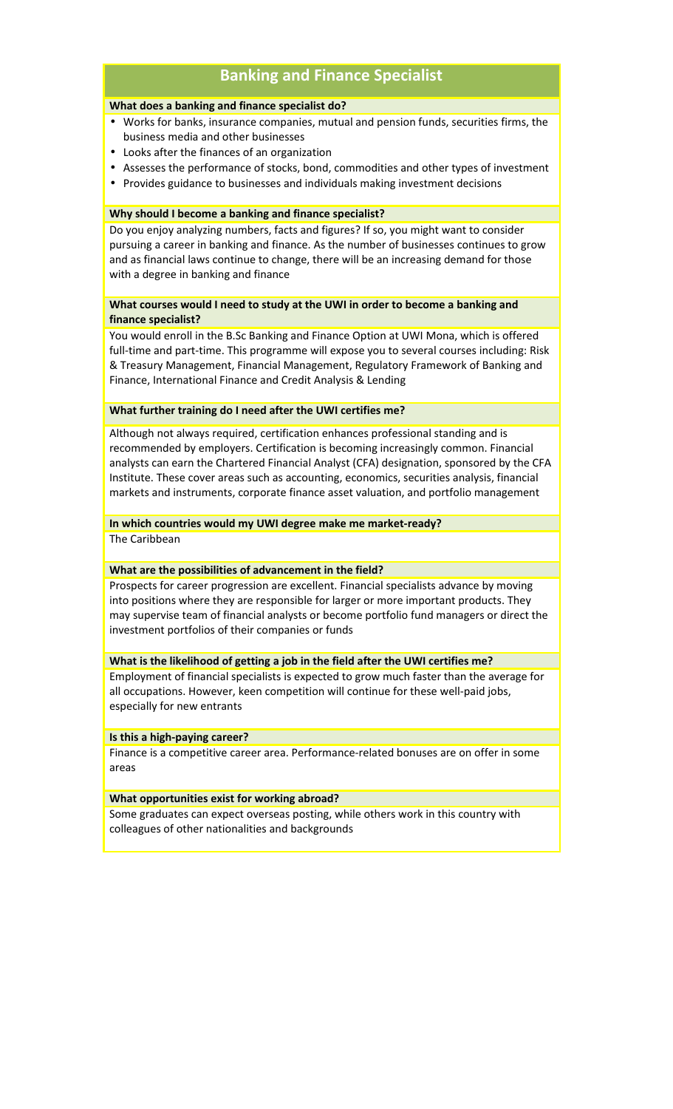# **Banking and Finance Specialist**

#### **What does a banking and finance specialist do?**

- Works for banks, insurance companies, mutual and pension funds, securities firms, the business media and other businesses
- Looks after the finances of an organization
- Assesses the performance of stocks, bond, commodities and other types of investment
- Provides guidance to businesses and individuals making investment decisions

#### **Why should I become a banking and finance specialist?**

Do you enjoy analyzing numbers, facts and figures? If so, you might want to consider pursuing a career in banking and finance. As the number of businesses continues to grow and as financial laws continue to change, there will be an increasing demand for those with a degree in banking and finance

## **What courses would I need to study at the UWI in order to become a banking and finance specialist?**

You would enroll in the B.Sc Banking and Finance Option at UWI Mona, which is offered full-time and part-time. This programme will expose you to several courses including: Risk & Treasury Management, Financial Management, Regulatory Framework of Banking and Finance, International Finance and Credit Analysis & Lending

#### **What further training do I need after the UWI certifies me?**

Although not always required, certification enhances professional standing and is recommended by employers. Certification is becoming increasingly common. Financial analysts can earn the Chartered Financial Analyst (CFA) designation, sponsored by the CFA Institute. These cover areas such as accounting, economics, securities analysis, financial markets and instruments, corporate finance asset valuation, and portfolio management

#### **In which countries would my UWI degree make me market-ready?**

The Caribbean

#### **What are the possibilities of advancement in the field?**

Prospects for career progression are excellent. Financial specialists advance by moving into positions where they are responsible for larger or more important products. They may supervise team of financial analysts or become portfolio fund managers or direct the investment portfolios of their companies or funds

#### **What is the likelihood of getting a job in the field after the UWI certifies me?**

Employment of financial specialists is expected to grow much faster than the average for all occupations. However, keen competition will continue for these well-paid jobs, especially for new entrants

#### **Is this a high-paying career?**

Finance is a competitive career area. Performance-related bonuses are on offer in some areas

#### **What opportunities exist for working abroad?**

Some graduates can expect overseas posting, while others work in this country with colleagues of other nationalities and backgrounds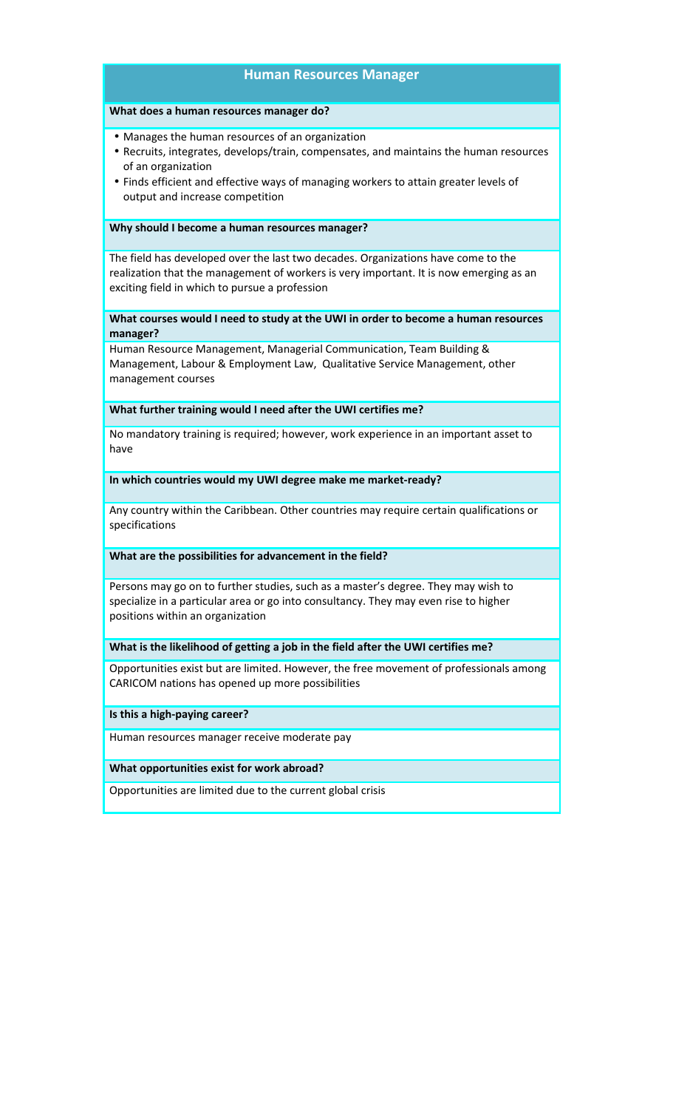## **Human Resources Manager**

#### **What does a human resources manager do?**

• Manages the human resources of an organization

- Recruits, integrates, develops/train, compensates, and maintains the human resources of an organization
- Finds efficient and effective ways of managing workers to attain greater levels of output and increase competition

#### **Why should I become a human resources manager?**

The field has developed over the last two decades. Organizations have come to the realization that the management of workers is very important. It is now emerging as an exciting field in which to pursue a profession

**What courses would I need to study at the UWI in order to become a human resources manager?**

Human Resource Management, Managerial Communication, Team Building & Management, Labour & Employment Law, Qualitative Service Management, other management courses

#### **What further training would I need after the UWI certifies me?**

No mandatory training is required; however, work experience in an important asset to have

**In which countries would my UWI degree make me market-ready?**

Any country within the Caribbean. Other countries may require certain qualifications or specifications

#### **What are the possibilities for advancement in the field?**

Persons may go on to further studies, such as a master's degree. They may wish to specialize in a particular area or go into consultancy. They may even rise to higher positions within an organization

### **What is the likelihood of getting a job in the field after the UWI certifies me?**

Opportunities exist but are limited. However, the free movement of professionals among CARICOM nations has opened up more possibilities

**Is this a high-paying career?**

Human resources manager receive moderate pay

#### **What opportunities exist for work abroad?**

Opportunities are limited due to the current global crisis